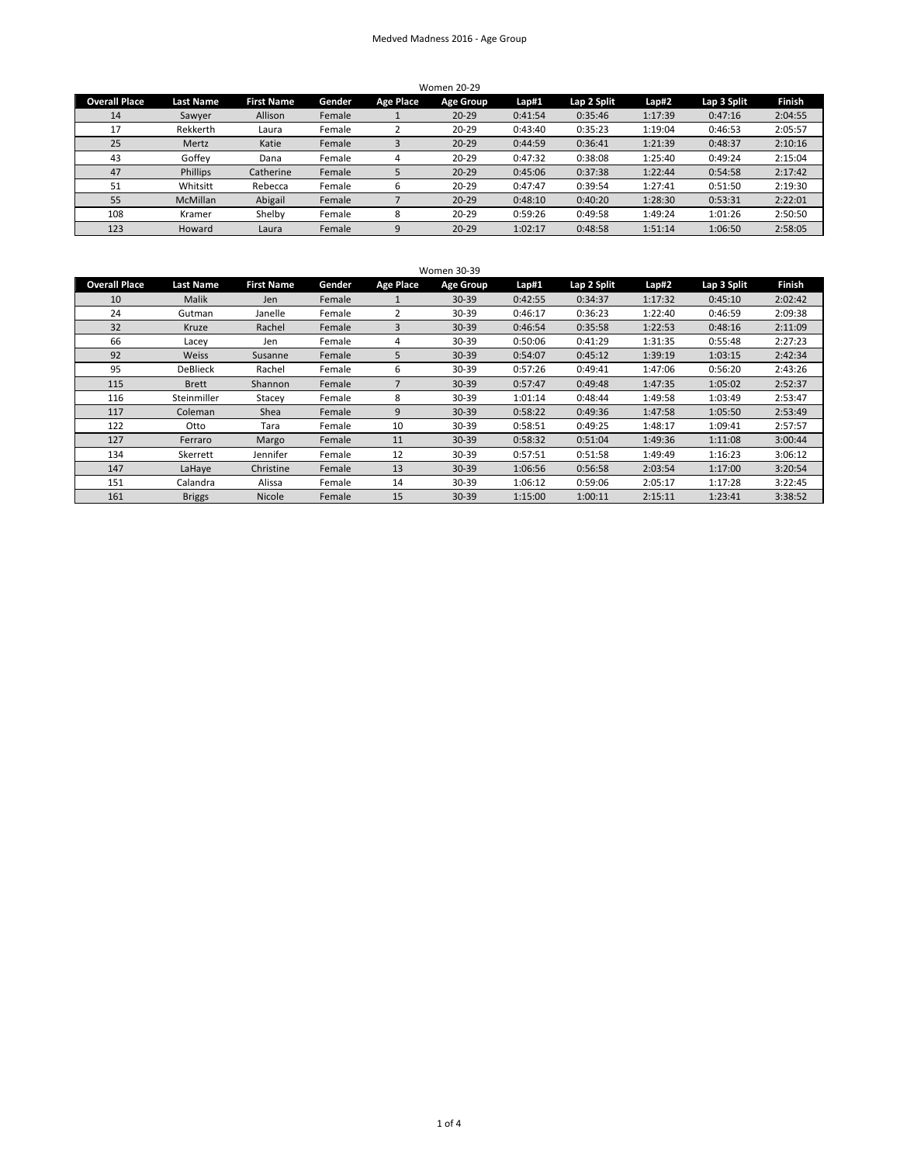## Medved Madness 2016 - Age Group

| <b>Women 20-29</b>   |                  |                   |        |                  |           |         |             |         |             |               |  |
|----------------------|------------------|-------------------|--------|------------------|-----------|---------|-------------|---------|-------------|---------------|--|
| <b>Overall Place</b> | <b>Last Name</b> | <b>First Name</b> | Gender | <b>Age Place</b> | Age Group | Lap#1   | Lap 2 Split | Lap#2   | Lap 3 Split | <b>Finish</b> |  |
| 14                   | Sawyer           | Allison           | Female |                  | $20 - 29$ | 0:41:54 | 0:35:46     | 1:17:39 | 0:47:16     | 2:04:55       |  |
| 17                   | Rekkerth         | Laura             | Female |                  | $20 - 29$ | 0:43:40 | 0:35:23     | 1:19:04 | 0:46:53     | 2:05:57       |  |
| 25                   | Mertz            | Katie             | Female |                  | $20 - 29$ | 0:44:59 | 0:36:41     | 1:21:39 | 0:48:37     | 2:10:16       |  |
| 43                   | Goffev           | Dana              | Female | 4                | $20 - 29$ | 0:47:32 | 0:38:08     | 1:25:40 | 0:49:24     | 2:15:04       |  |
| 47                   | <b>Phillips</b>  | Catherine         | Female |                  | $20 - 29$ | 0:45:06 | 0:37:38     | 1:22:44 | 0:54:58     | 2:17:42       |  |
| 51                   | Whitsitt         | Rebecca           | Female | b                | $20 - 29$ | 0:47:47 | 0:39:54     | 1:27:41 | 0:51:50     | 2:19:30       |  |
| 55                   | <b>McMillan</b>  | Abigail           | Female |                  | $20 - 29$ | 0:48:10 | 0:40:20     | 1:28:30 | 0:53:31     | 2:22:01       |  |
| 108                  | Kramer           | Shelby            | Female | 8                | $20 - 29$ | 0:59:26 | 0:49:58     | 1:49:24 | 1:01:26     | 2:50:50       |  |
| 123                  | Howard           | Laura             | Female | 9                | $20 - 29$ | 1:02:17 | 0:48:58     | 1:51:14 | 1:06:50     | 2:58:05       |  |

| <b>Women 30-39</b>   |                  |                   |        |                  |                  |         |             |         |             |               |  |
|----------------------|------------------|-------------------|--------|------------------|------------------|---------|-------------|---------|-------------|---------------|--|
| <b>Overall Place</b> | <b>Last Name</b> | <b>First Name</b> | Gender | <b>Age Place</b> | <b>Age Group</b> | Lap#1   | Lap 2 Split | Lap#2   | Lap 3 Split | <b>Finish</b> |  |
| 10                   | Malik            | Jen               | Female |                  | $30 - 39$        | 0:42:55 | 0:34:37     | 1:17:32 | 0:45:10     | 2:02:42       |  |
| 24                   | Gutman           | Janelle           | Female | 2                | 30-39            | 0:46:17 | 0:36:23     | 1:22:40 | 0:46:59     | 2:09:38       |  |
| 32                   | Kruze            | Rachel            | Female | 3                | $30 - 39$        | 0:46:54 | 0:35:58     | 1:22:53 | 0:48:16     | 2:11:09       |  |
| 66                   | Lacey            | Jen               | Female | 4                | 30-39            | 0:50:06 | 0:41:29     | 1:31:35 | 0:55:48     | 2:27:23       |  |
| 92                   | Weiss            | Susanne           | Female | 5                | $30 - 39$        | 0:54:07 | 0:45:12     | 1:39:19 | 1:03:15     | 2:42:34       |  |
| 95                   | <b>DeBlieck</b>  | Rachel            | Female | 6                | 30-39            | 0:57:26 | 0:49:41     | 1:47:06 | 0:56:20     | 2:43:26       |  |
| 115                  | <b>Brett</b>     | Shannon           | Female | 7                | $30 - 39$        | 0:57:47 | 0:49:48     | 1:47:35 | 1:05:02     | 2:52:37       |  |
| 116                  | Steinmiller      | Stacey            | Female | 8                | $30 - 39$        | 1:01:14 | 0:48:44     | 1:49:58 | 1:03:49     | 2:53:47       |  |
| 117                  | Coleman          | Shea              | Female | 9                | $30 - 39$        | 0:58:22 | 0:49:36     | 1:47:58 | 1:05:50     | 2:53:49       |  |
| 122                  | Otto             | Tara              | Female | 10               | $30 - 39$        | 0:58:51 | 0:49:25     | 1:48:17 | 1:09:41     | 2:57:57       |  |
| 127                  | Ferraro          | Margo             | Female | 11               | $30 - 39$        | 0:58:32 | 0:51:04     | 1:49:36 | 1:11:08     | 3:00:44       |  |
| 134                  | Skerrett         | Jennifer          | Female | 12               | 30-39            | 0:57:51 | 0:51:58     | 1:49:49 | 1:16:23     | 3:06:12       |  |
| 147                  | LaHaye           | Christine         | Female | 13               | $30 - 39$        | 1:06:56 | 0:56:58     | 2:03:54 | 1:17:00     | 3:20:54       |  |
| 151                  | Calandra         | Alissa            | Female | 14               | $30 - 39$        | 1:06:12 | 0:59:06     | 2:05:17 | 1:17:28     | 3:22:45       |  |
| 161                  | <b>Briggs</b>    | <b>Nicole</b>     | Female | 15               | $30 - 39$        | 1:15:00 | 1:00:11     | 2:15:11 | 1:23:41     | 3:38:52       |  |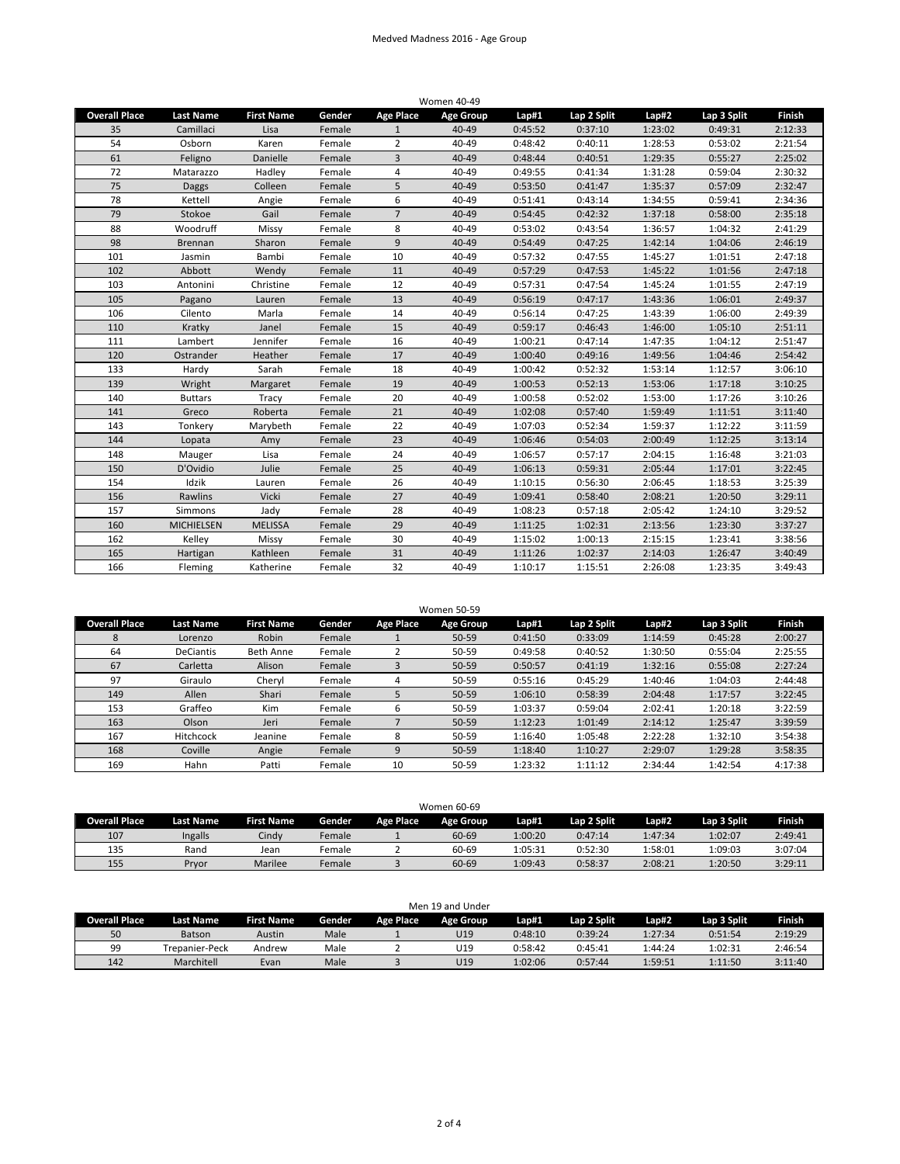## Medved Madness 2016 - Age Group

| <b>Women 40-49</b>   |                   |                   |        |                  |                  |         |             |         |             |               |
|----------------------|-------------------|-------------------|--------|------------------|------------------|---------|-------------|---------|-------------|---------------|
| <b>Overall Place</b> | <b>Last Name</b>  | <b>First Name</b> | Gender | <b>Age Place</b> | <b>Age Group</b> | Lap#1   | Lap 2 Split | Lap#2   | Lap 3 Split | <b>Finish</b> |
| 35                   | Camillaci         | Lisa              | Female | $\mathbf{1}$     | 40-49            | 0:45:52 | 0:37:10     | 1:23:02 | 0:49:31     | 2:12:33       |
| 54                   | Osborn            | Karen             | Female | $\overline{2}$   | 40-49            | 0:48:42 | 0:40:11     | 1:28:53 | 0:53:02     | 2:21:54       |
| 61                   | Feligno           | Danielle          | Female | 3                | 40-49            | 0:48:44 | 0:40:51     | 1:29:35 | 0:55:27     | 2:25:02       |
| 72                   | Matarazzo         | Hadley            | Female | 4                | 40-49            | 0:49:55 | 0:41:34     | 1:31:28 | 0:59:04     | 2:30:32       |
| 75                   | <b>Daggs</b>      | Colleen           | Female | 5                | 40-49            | 0:53:50 | 0:41:47     | 1:35:37 | 0:57:09     | 2:32:47       |
| 78                   | Kettell           | Angie             | Female | 6                | 40-49            | 0:51:41 | 0:43:14     | 1:34:55 | 0:59:41     | 2:34:36       |
| 79                   | Stokoe            | Gail              | Female | $\overline{7}$   | 40-49            | 0:54:45 | 0:42:32     | 1:37:18 | 0:58:00     | 2:35:18       |
| 88                   | Woodruff          | Missy             | Female | 8                | 40-49            | 0:53:02 | 0:43:54     | 1:36:57 | 1:04:32     | 2:41:29       |
| 98                   | <b>Brennan</b>    | Sharon            | Female | 9                | 40-49            | 0:54:49 | 0:47:25     | 1:42:14 | 1:04:06     | 2:46:19       |
| 101                  | Jasmin            | Bambi             | Female | 10               | 40-49            | 0:57:32 | 0:47:55     | 1:45:27 | 1:01:51     | 2:47:18       |
| 102                  | Abbott            | Wendy             | Female | 11               | 40-49            | 0:57:29 | 0:47:53     | 1:45:22 | 1:01:56     | 2:47:18       |
| 103                  | Antonini          | Christine         | Female | 12               | 40-49            | 0:57:31 | 0:47:54     | 1:45:24 | 1:01:55     | 2:47:19       |
| 105                  | Pagano            | Lauren            | Female | 13               | 40-49            | 0:56:19 | 0:47:17     | 1:43:36 | 1:06:01     | 2:49:37       |
| 106                  | Cilento           | Marla             | Female | 14               | 40-49            | 0:56:14 | 0:47:25     | 1:43:39 | 1:06:00     | 2:49:39       |
| 110                  | Kratky            | Janel             | Female | 15               | 40-49            | 0:59:17 | 0:46:43     | 1:46:00 | 1:05:10     | 2:51:11       |
| 111                  | Lambert           | Jennifer          | Female | 16               | 40-49            | 1:00:21 | 0:47:14     | 1:47:35 | 1:04:12     | 2:51:47       |
| 120                  | Ostrander         | Heather           | Female | 17               | 40-49            | 1:00:40 | 0:49:16     | 1:49:56 | 1:04:46     | 2:54:42       |
| 133                  | Hardv             | Sarah             | Female | 18               | 40-49            | 1:00:42 | 0:52:32     | 1:53:14 | 1:12:57     | 3:06:10       |
| 139                  | Wright            | Margaret          | Female | 19               | 40-49            | 1:00:53 | 0:52:13     | 1:53:06 | 1:17:18     | 3:10:25       |
| 140                  | <b>Buttars</b>    | Tracy             | Female | 20               | 40-49            | 1:00:58 | 0:52:02     | 1:53:00 | 1:17:26     | 3:10:26       |
| 141                  | Greco             | Roberta           | Female | 21               | 40-49            | 1:02:08 | 0:57:40     | 1:59:49 | 1:11:51     | 3:11:40       |
| 143                  | Tonkery           | Marybeth          | Female | 22               | 40-49            | 1:07:03 | 0:52:34     | 1:59:37 | 1:12:22     | 3:11:59       |
| 144                  | Lopata            | Amy               | Female | 23               | 40-49            | 1:06:46 | 0:54:03     | 2:00:49 | 1:12:25     | 3:13:14       |
| 148                  | Mauger            | Lisa              | Female | 24               | 40-49            | 1:06:57 | 0:57:17     | 2:04:15 | 1:16:48     | 3:21:03       |
| 150                  | D'Ovidio          | Julie             | Female | 25               | 40-49            | 1:06:13 | 0:59:31     | 2:05:44 | 1:17:01     | 3:22:45       |
| 154                  | Idzik             | Lauren            | Female | 26               | 40-49            | 1:10:15 | 0:56:30     | 2:06:45 | 1:18:53     | 3:25:39       |
| 156                  | Rawlins           | Vicki             | Female | 27               | 40-49            | 1:09:41 | 0:58:40     | 2:08:21 | 1:20:50     | 3:29:11       |
| 157                  | Simmons           | Jady              | Female | 28               | 40-49            | 1:08:23 | 0:57:18     | 2:05:42 | 1:24:10     | 3:29:52       |
| 160                  | <b>MICHIELSEN</b> | <b>MELISSA</b>    | Female | 29               | 40-49            | 1:11:25 | 1:02:31     | 2:13:56 | 1:23:30     | 3:37:27       |
| 162                  | Kelley            | Missy             | Female | 30               | 40-49            | 1:15:02 | 1:00:13     | 2:15:15 | 1:23:41     | 3:38:56       |
| 165                  | Hartigan          | Kathleen          | Female | 31               | 40-49            | 1:11:26 | 1:02:37     | 2:14:03 | 1:26:47     | 3:40:49       |
| 166                  | Fleming           | Katherine         | Female | 32               | 40-49            | 1:10:17 | 1:15:51     | 2:26:08 | 1:23:35     | 3:49:43       |

| <b>Overall Place</b> | <b>Last Name</b> | <b>First Name</b> | Gender | Age Place | <b>Age Group</b> | Lap#1   | Lap 2 Split | Lap#2   | Lap 3 Split | <b>Finish</b> |
|----------------------|------------------|-------------------|--------|-----------|------------------|---------|-------------|---------|-------------|---------------|
| 8                    | Lorenzo          | Robin             | Female |           | $50 - 59$        | 0:41:50 | 0:33:09     | 1:14:59 | 0:45:28     | 2:00:27       |
| 64                   | <b>DeCiantis</b> | <b>Beth Anne</b>  | Female |           | 50-59            | 0:49:58 | 0:40:52     | 1:30:50 | 0:55:04     | 2:25:55       |
| 67                   | Carletta         | Alison            | Female |           | $50 - 59$        | 0:50:57 | 0:41:19     | 1:32:16 | 0:55:08     | 2:27:24       |
| 97                   | Giraulo          | Chervl            | Female |           | 50-59            | 0:55:16 | 0:45:29     | 1:40:46 | 1:04:03     | 2:44:48       |
| 149                  | Allen            | Shari             | Female |           | $50 - 59$        | 1:06:10 | 0:58:39     | 2:04:48 | 1:17:57     | 3:22:45       |
| 153                  | Graffeo          | Kim               | Female | b         | 50-59            | 1:03:37 | 0:59:04     | 2:02:41 | 1:20:18     | 3:22:59       |
| 163                  | Olson            | Jeri              | Female |           | $50 - 59$        | 1:12:23 | 1:01:49     | 2:14:12 | 1:25:47     | 3:39:59       |
| 167                  | <b>Hitchcock</b> | Jeanine           | Female | 8         | 50-59            | 1:16:40 | 1:05:48     | 2:22:28 | 1:32:10     | 3:54:38       |
| 168                  | Coville          | Angie             | Female | 9         | $50 - 59$        | 1:18:40 | 1:10:27     | 2:29:07 | 1:29:28     | 3:58:35       |
| 169                  | Hahn             | Patti             | Female | 10        | 50-59            | 1:23:32 | 1:11:12     | 2:34:44 | 1:42:54     | 4:17:38       |

| Women 60-69          |                  |                   |        |                  |           |         |             |         |             |               |  |
|----------------------|------------------|-------------------|--------|------------------|-----------|---------|-------------|---------|-------------|---------------|--|
| <b>Overall Place</b> | <b>Last Name</b> | <b>First Name</b> | Gender | <b>Age Place</b> | Age Group | Lap#1   | Lap 2 Split | Lap#2   | Lap 3 Split | <b>Finish</b> |  |
| 107                  | Ingalls          | Cindv             | Female |                  | 60-69     | 1:00:20 | 0:47:14     | 1:47:34 | 1:02:07     | 2:49:41       |  |
| 135                  | Rand             | Jean              | Female |                  | 60-69     | 1:05:31 | 0:52:30     | 1:58:01 | 1:09:03     | 3:07:04       |  |
| 155                  | Prvor            | Marilee           | Female |                  | 60-69     | 1:09:43 | 0:58:37     | 2:08:21 | 1:20:50     | 3:29:11       |  |

| Men 19 and Under     |                  |                   |        |                  |           |         |             |         |             |               |  |  |
|----------------------|------------------|-------------------|--------|------------------|-----------|---------|-------------|---------|-------------|---------------|--|--|
| <b>Overall Place</b> | <b>Last Name</b> | <b>First Name</b> | Gender | <b>Age Place</b> | Age Group | Lap#1   | Lap 2 Split | Lap#2   | Lap 3 Split | <b>Finish</b> |  |  |
| 50                   | Batson           | Austin            | Male   |                  | U19       | 0:48:10 | 0:39:24     | 1:27:34 | 0:51:54     | 2:19:29       |  |  |
| 99                   | Trepanier-Peck   | Andrew            | Male   |                  | U19       | 0:58:42 | 0:45:41     | 1:44:24 | 1:02:31     | 2:46:54       |  |  |
| 142                  | Marchitell       | Evan              | Male   |                  | U19       | 1:02:06 | 0:57:44     | 1:59:51 | 1:11:50     | 3:11:40       |  |  |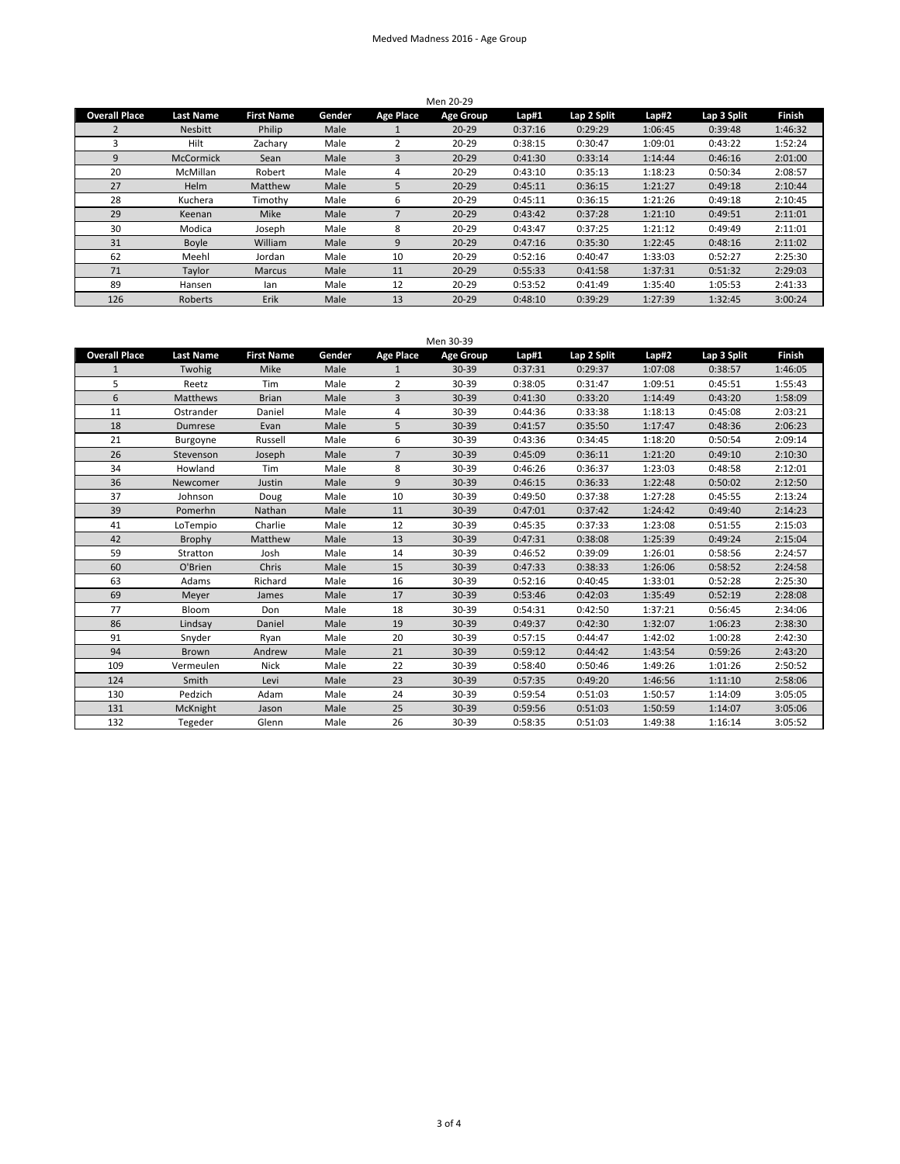## Medved Madness 2016 - Age Group

| Men 20-29            |                  |                   |        |           |           |         |             |         |             |               |  |
|----------------------|------------------|-------------------|--------|-----------|-----------|---------|-------------|---------|-------------|---------------|--|
| <b>Overall Place</b> | <b>Last Name</b> | <b>First Name</b> | Gender | Age Place | Age Group | Lap#1   | Lap 2 Split | Lap#2   | Lap 3 Split | <b>Finish</b> |  |
| 2                    | <b>Nesbitt</b>   | Philip            | Male   |           | $20 - 29$ | 0:37:16 | 0:29:29     | 1:06:45 | 0:39:48     | 1:46:32       |  |
| 3                    | Hilt             | Zachary           | Male   |           | $20 - 29$ | 0:38:15 | 0:30:47     | 1:09:01 | 0:43:22     | 1:52:24       |  |
| 9                    | <b>McCormick</b> | Sean              | Male   | 3         | $20 - 29$ | 0:41:30 | 0:33:14     | 1:14:44 | 0:46:16     | 2:01:00       |  |
| 20                   | <b>McMillan</b>  | Robert            | Male   | 4         | $20 - 29$ | 0:43:10 | 0:35:13     | 1:18:23 | 0:50:34     | 2:08:57       |  |
| 27                   | Helm             | Matthew           | Male   | 5         | $20 - 29$ | 0:45:11 | 0:36:15     | 1:21:27 | 0:49:18     | 2:10:44       |  |
| 28                   | Kuchera          | Timothy           | Male   | 6         | $20 - 29$ | 0:45:11 | 0:36:15     | 1:21:26 | 0:49:18     | 2:10:45       |  |
| 29                   | Keenan           | <b>Mike</b>       | Male   |           | $20 - 29$ | 0:43:42 | 0:37:28     | 1:21:10 | 0:49:51     | 2:11:01       |  |
| 30                   | Modica           | Joseph            | Male   | 8         | $20 - 29$ | 0:43:47 | 0:37:25     | 1:21:12 | 0:49:49     | 2:11:01       |  |
| 31                   | Boyle            | William           | Male   | 9         | $20 - 29$ | 0:47:16 | 0:35:30     | 1:22:45 | 0:48:16     | 2:11:02       |  |
| 62                   | Meehl            | Jordan            | Male   | 10        | $20 - 29$ | 0:52:16 | 0:40:47     | 1:33:03 | 0:52:27     | 2:25:30       |  |
| 71                   | Taylor           | Marcus            | Male   | 11        | $20 - 29$ | 0:55:33 | 0:41:58     | 1:37:31 | 0:51:32     | 2:29:03       |  |
| 89                   | Hansen           | lan               | Male   | 12        | $20 - 29$ | 0:53:52 | 0:41:49     | 1:35:40 | 1:05:53     | 2:41:33       |  |
| 126                  | Roberts          | Erik              | Male   | 13        | $20 - 29$ | 0:48:10 | 0:39:29     | 1:27:39 | 1:32:45     | 3:00:24       |  |

| <b>Overall Place</b> | <b>Last Name</b> | <b>First Name</b> | Gender | <b>Age Place</b> | Men 30-39<br><b>Age Group</b> | Lap#1   | Lap 2 Split | Lap#2   | Lap 3 Split | <b>Finish</b> |
|----------------------|------------------|-------------------|--------|------------------|-------------------------------|---------|-------------|---------|-------------|---------------|
| $\mathbf{1}$         | Twohig           | Mike              | Male   | $\mathbf{1}$     | 30-39                         | 0:37:31 | 0:29:37     | 1:07:08 | 0:38:57     | 1:46:05       |
| 5                    | Reetz            | Tim               | Male   | $\overline{2}$   | 30-39                         | 0:38:05 | 0:31:47     | 1:09:51 | 0:45:51     | 1:55:43       |
| 6                    | <b>Matthews</b>  | <b>Brian</b>      | Male   | 3                | 30-39                         | 0:41:30 | 0:33:20     | 1:14:49 | 0:43:20     | 1:58:09       |
| 11                   | Ostrander        | Daniel            | Male   | 4                | 30-39                         | 0:44:36 | 0:33:38     | 1:18:13 | 0:45:08     | 2:03:21       |
| 18                   | Dumrese          | Evan              | Male   | 5                | 30-39                         | 0:41:57 | 0:35:50     | 1:17:47 | 0:48:36     | 2:06:23       |
| 21                   | Burgoyne         | Russell           | Male   | 6                | 30-39                         | 0:43:36 | 0:34:45     | 1:18:20 | 0:50:54     | 2:09:14       |
| 26                   | Stevenson        | Joseph            | Male   | $\overline{7}$   | 30-39                         | 0:45:09 | 0:36:11     | 1:21:20 | 0:49:10     | 2:10:30       |
| 34                   | Howland          | Tim               | Male   | 8                | 30-39                         | 0:46:26 | 0:36:37     | 1:23:03 | 0:48:58     | 2:12:01       |
| 36                   | Newcomer         | Justin            | Male   | 9                | 30-39                         | 0:46:15 | 0:36:33     | 1:22:48 | 0:50:02     | 2:12:50       |
| 37                   | Johnson          | Doug              | Male   | 10               | 30-39                         | 0:49:50 | 0:37:38     | 1:27:28 | 0:45:55     | 2:13:24       |
| 39                   | Pomerhn          | Nathan            | Male   | 11               | 30-39                         | 0:47:01 | 0:37:42     | 1:24:42 | 0:49:40     | 2:14:23       |
| 41                   | LoTempio         | Charlie           | Male   | 12               | 30-39                         | 0:45:35 | 0:37:33     | 1:23:08 | 0:51:55     | 2:15:03       |
| 42                   | Brophy           | Matthew           | Male   | 13               | 30-39                         | 0:47:31 | 0:38:08     | 1:25:39 | 0:49:24     | 2:15:04       |
| 59                   | Stratton         | Josh              | Male   | 14               | 30-39                         | 0:46:52 | 0:39:09     | 1:26:01 | 0:58:56     | 2:24:57       |
| 60                   | O'Brien          | Chris             | Male   | 15               | 30-39                         | 0:47:33 | 0:38:33     | 1:26:06 | 0:58:52     | 2:24:58       |
| 63                   | Adams            | Richard           | Male   | 16               | 30-39                         | 0:52:16 | 0:40:45     | 1:33:01 | 0:52:28     | 2:25:30       |
| 69                   | Meyer            | James             | Male   | 17               | 30-39                         | 0:53:46 | 0:42:03     | 1:35:49 | 0:52:19     | 2:28:08       |
| 77                   | Bloom            | Don               | Male   | 18               | 30-39                         | 0:54:31 | 0:42:50     | 1:37:21 | 0:56:45     | 2:34:06       |
| 86                   | Lindsay          | Daniel            | Male   | 19               | 30-39                         | 0:49:37 | 0:42:30     | 1:32:07 | 1:06:23     | 2:38:30       |
| 91                   | Snyder           | Rvan              | Male   | 20               | 30-39                         | 0:57:15 | 0:44:47     | 1:42:02 | 1:00:28     | 2:42:30       |
| 94                   | Brown            | Andrew            | Male   | 21               | 30-39                         | 0:59:12 | 0:44:42     | 1:43:54 | 0:59:26     | 2:43:20       |
| 109                  | Vermeulen        | <b>Nick</b>       | Male   | 22               | 30-39                         | 0:58:40 | 0:50:46     | 1:49:26 | 1:01:26     | 2:50:52       |
| 124                  | Smith            | Levi              | Male   | 23               | 30-39                         | 0:57:35 | 0:49:20     | 1:46:56 | 1:11:10     | 2:58:06       |
| 130                  | Pedzich          | Adam              | Male   | 24               | 30-39                         | 0:59:54 | 0:51:03     | 1:50:57 | 1:14:09     | 3:05:05       |
| 131                  | McKnight         | Jason             | Male   | 25               | 30-39                         | 0:59:56 | 0:51:03     | 1:50:59 | 1:14:07     | 3:05:06       |
| 132                  | Tegeder          | Glenn             | Male   | 26               | 30-39                         | 0:58:35 | 0:51:03     | 1:49:38 | 1:16:14     | 3:05:52       |